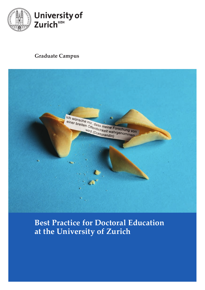

### **Graduate Campus**



## **Best Practice for Doctoral Education at the University of Zurich**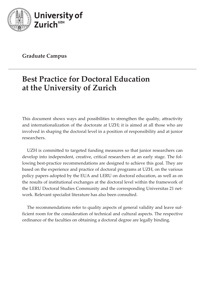

**Graduate Campus**

# **Best Practice for Doctoral Education at the University of Zurich**

This document shows ways and possibilities to strengthen the quality, attractivity and internationalization of the doctorate at UZH; it is aimed at all those who are involved in shaping the doctoral level in a position of responsibility and at junior researchers.

UZH is committed to targeted funding measures so that junior researchers can develop into independent, creative, critical researchers at an early stage. The following best-practice recommendations are designed to achieve this goal. They are based on the experience and practice of doctoral programs at UZH, on the various policy papers adopted by the EUA and LERU on doctoral education, as well as on the results of institutional exchanges at the doctoral level within the framework of the LERU Doctoral Studies Community and the corresponding Universitas 21 network. Relevant specialist literature has also been consulted.

The recommendations refer to quality aspects of general validity and leave sufficient room for the consideration of technical and cultural aspects. The respective ordinance of the faculties on obtaining a doctoral degree are legally binding.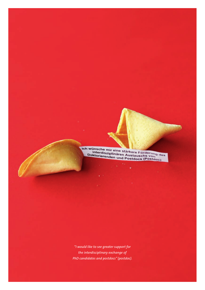Ich wünsche mir eine stärkere Förderung<br>Interdisziplinären Austauschs von des<br>Doktorierenden und Postdocs (Postdoc)

*"I would like to see greater support for the interdisciplinary exchange of PhD candidates and postdocs" (postdoc).*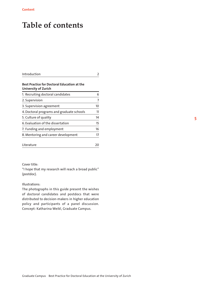# **Table of contents**

### Introduction 2

### Best Practice for Doctoral Education at the University of Zurich

| 1. Recruiting doctoral candidates         | 6  |
|-------------------------------------------|----|
| 2. Supervision                            | 7  |
| 3. Supervision agreement                  | 10 |
| 4. Doctoral programs and graduate schools | 11 |
| 5. Culture of quality                     | 14 |
| 6. Evaluation of the dissertation         | 15 |
| 7. Funding and employment                 | 16 |
| 8. Mentoring and career development       | 17 |
| Literature                                | 20 |

### Cover title:

"I hope that my research will reach a broad public" (postdoc).

### Illustrations:

The photographs in this guide present the wishes of doctoral candidates and postdocs that were distributed to decision-makers in higher education policy and participants of a panel discussion. Concept: Katharina Weikl, Graduate Campus.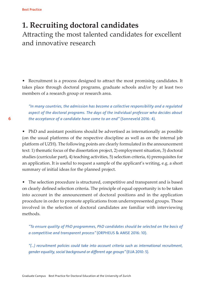### **1. Recruiting doctoral candidates**  Attracting the most talented candidates for excellent and innovative research

• Recruitment is a process designed to attract the most promising candidates. It takes place through doctoral programs, graduate schools and/or by at least two members of a research group or research area.

*"In many countries, the admission has become a collective responsibility and a regulated aspect of the doctoral programs. The days of the individual professor who decides about the acceptance of a candidate have come to an end"* (Sonneveld 2016: 4).

• PhD and assistant positions should be advertised as internationally as possible (on the usual platforms of the respective discipline as well as on the internal job platform of UZH). The following points are clearly formulated in the announcement text: 1) thematic focus of the dissertation project, 2) employment situation, 3) doctoral studies (curricular part), 4) teaching activities, 5) selection criteria, 6) prerequisites for an application. It is useful to request a sample of the applicant's writing, e.g. a short summary of initial ideas for the planned project.

• The selection procedure is structured, competitive and transparent and is based on clearly defined selection criteria. The principle of equal opportunity is to be taken into account in the announcement of doctoral positions and in the application procedure in order to promote applications from underrepresented groups. Those involved in the selection of doctoral candidates are familiar with interviewing methods.

*"To ensure quality of PhD programmes, PhD candidates should be selected on the basis of a competitive and transparent process"* (ORPHEUS & AMSE 2016: 10).

*"(…) recruitment policies could take into account criteria such as international recruitment, gender equality, social background or different age groups"* (EUA 2010: 5).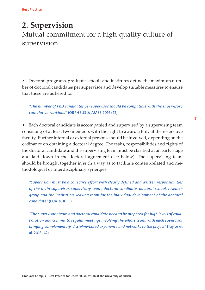## **2. Supervision** Mutual commitment for a high-quality culture of supervision

• Doctoral programs, graduate schools and institutes define the maximum number of doctoral candidates per supervisor and develop suitable measures to ensure that these are adhered to.

*"The number of PhD candidates per supervisor should be compatible with the supervisor's cumulative workload"* (ORPHEUS & AMSE 2016: 12).

• Each doctoral candidate is accompanied and supervised by a supervising team consisting of at least two members with the right to award a PhD at the respective faculty. Further internal or external persons should be involved, depending on the ordinance on obtaining a doctoral degree. The tasks, responsibilities and rights of the doctoral candidate and the supervising team must be clarified at an early stage and laid down in the doctoral agreement (see below). The supervising team should be brought together in such a way as to facilitate content-related and methodological or interdisciplinary synergies.

*"Supervision must be a collective effort with clearly defined and written responsibilities of the main supervisor, supervisory team, doctoral candidate, doctoral school, research group and the institution, leaving room for the individual development of the doctoral candidate"* (EUA 2010: 5).

*"The supervisory team and doctoral candidate need to be prepared for high levels of collaboration and commit to regular meetings involving the whole team, with each supervisor bringing complementary, discipline-based experience and networks to the project"* (Taylor et al. 2018: 42).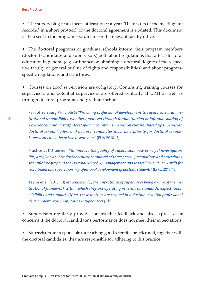• The supervising team meets at least once a year. The results of the meeting are recorded in a short protocol, or the doctoral agreement is updated. This document is then sent to the program coordinator or the relevant faculty office.

• The doctoral programs or graduate schools inform their program members (doctoral candidates and supervisors) both about regulations that affect doctoral education in general (e.g. ordinance on obtaining a doctoral degree of the respective faculty or general outline of rights and responsibilities) and about programspecific regulations and structures.

• Courses on good supervision are obligatory. Continuing training courses for supervisors and potential supervisors are offered centrally at UZH as well as through doctoral programs and graduate schools.

Part of Salzburg Principle 5: *"Providing professional development to supervisors is an institutional responsibility, whether organised through formal training or informal sharing of experiences among staff. Developing a common supervision culture shared by supervisors, doctoral school leaders and doctoral candidates must be a priority for doctoral schools. Supervisors must be active researchers"* (EUA 2010: 5).

Practice at KU Leuven: *"To improve the quality of supervision, new principal investigators (PIs) are given an introductory course composed of three parts: 1) regulations and procedures, scientific integrity and the Doctoral School, 2) management and leadership, and 3) HR skills for recruitment and supervision in professional development of doctoral students"* (LERU 2016: 15).

Taylor et al. (2018: 31) emphasize *"(…) the importance of supervisors being aware of the institutional framework within which they are operating in terms of standards, expectations, eligibility and support. Often, these matters are covered in induction or initial professional development workshops for new supervisors (…)".*

• Supervisors regularly provide constructive feedback and also express clear concerns if the doctoral candidate's performance does not meet their expectations.

• Supervisors are responsible for teaching good scientific practice and, together with the doctoral candidates, they are responsible for adhering to this practice.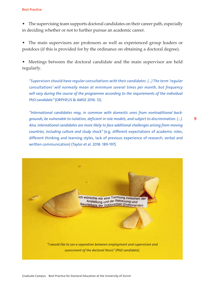• The supervising team supports doctoral candidates on their career path, especially in deciding whether or not to further pursue an academic career.

• The main supervisors are professors as well as experienced group leaders or postdocs (if this is provided for by the ordinance on obtaining a doctoral degree).

• Meetings between the doctoral candidate and the main supervisor are held regularly.

*"Supervisors should have regular consultations with their candidates. (…) The term 'regular consultations' will normally mean at minimum several times per month, but frequency will vary during the course of the programme according to the requirements of the individual PhD candidate"* (ORPHEUS & AMSE 2016: 12).

*"International candidates may, in common with domestic ones from nontraditional backgrounds, be vulnerable to isolation, deficient in role models, and subject to discrimination. (…). Also, international candidates are more likely to face additional challenges arising from moving countries, including culture and study shock"* (e.g. different expectations of academic roles, different thinking and learning styles, lack of previous experience of research, verbal and written communication) (Taylor et al. 2018: 189-197).

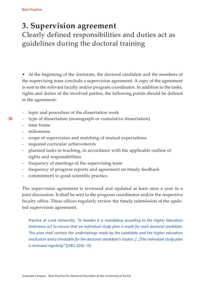### **3. Supervision agreement**

Clearly defined responsibilities and duties act as guidelines during the doctoral training

• At the beginning of the doctorate, the doctoral candidate and the members of the supervising team conclude a supervision agreement. A copy of the agreement is sent to the relevant faculty and/or program coordinator. In addition to the tasks, rights and duties of the involved parties, the following points should be defined in the agreement:

- topic and procedure of the dissertation work
- type of dissertation (monograph or cumulative dissertation)
	- time frame
	- milestones
	- scope of supervision and matching of mutual expectations
	- required curricular achievements
	- planned tasks in teaching, in accordance with the applicable outline of rights and responsibilities
	- frequency of meetings of the supervising team
	- frequency of progress reports and agreement on timely feedback
	- commitment to good scientific practice.

The supervision agreement is reviewed and updated at least once a year in a joint discussion. It shall be sent to the program coordinator and/or the respective faculty office. These offices regularly review the timely submission of the updated supervision agreement.

Practice at Lund University: *"In Sweden it is mandatory according to the Higher Education Ordinance act to ensure that an individual study plan is made for each doctoral candidate. This plan shall contain the undertakings made by the candidate and the higher education institution and a timetable for the doctoral candidate's studies. […]The individual study plan is reviewed regularly"* (LERU 2016: 13).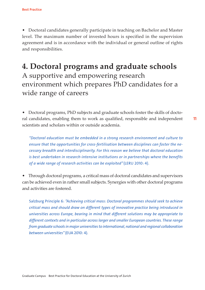• Doctoral candidates generally participate in teaching on Bachelor and Master level. The maximum number of invested hours is specified in the supervision agreement and is in accordance with the individual or general outline of rights and responsibilities.

## **4. Doctoral programs and graduate schools** A supportive and empowering research environment which prepares PhD candidates for a wide range of careers

• Doctoral programs, PhD subjects and graduate schools foster the skills of doctoral candidates, enabling them to work as qualified, responsible and independent scientists and scholars within or outside academia.

*"Doctoral education must be embedded in a strong research environment and culture to ensure that the opportunities for cross-fertilisation between disciplines can foster the necessary breadth and interdisciplinarity. For this reason we believe that doctoral education is best undertaken in research-intensive institutions or in partnerships where the benefits of a wide range of research activities can be exploited"* (LERU 2010: 4).

• Through doctoral programs, a critical mass of doctoral candidates and supervisors can be achieved even in rather small subjects. Synergies with other doctoral programs and activities are fostered.

Salzburg Principle 6: *"Achieving critical mass: Doctoral programmes should seek to achieve critical mass and should draw on different types of innovative practice being introduced in universities across Europe, bearing in mind that different solutions may be appropriate to different contexts and in particular across larger and smaller European countries. These range from graduate schools in major universities to international, national and regional collaboration between universities"* (EUA 2010: 4).

11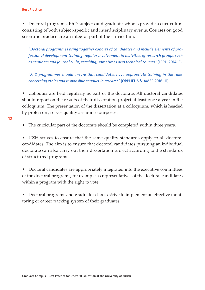• Doctoral programs, PhD subjects and graduate schools provide a curriculum consisting of both subject-specific and interdisciplinary events. Courses on good scientific practice are an integral part of the curriculum.

*"Doctoral programmes bring together cohorts of candidates and include elements of professional development training, regular involvement in activities of research groups such as seminars and journal clubs, teaching, sometimes also technical courses"* (LERU 2014: 5).

*"PhD programmes should ensure that candidates have appropriate training in the rules concerning ethics and responsible conduct in research"* (ORPHEUS & AMSE 2016: 11).

• Colloquia are held regularly as part of the doctorate. All doctoral candidates should report on the results of their dissertation project at least once a year in the colloquium. The presentation of the dissertation at a colloquium, which is headed by professors, serves quality assurance purposes.

• The curricular part of the doctorate should be completed within three years.

• UZH strives to ensure that the same quality standards apply to all doctoral candidates. The aim is to ensure that doctoral candidates pursuing an individual doctorate can also carry out their dissertation project according to the standards of structured programs.

- Doctoral candidates are appropriately integrated into the executive committees of the doctoral programs, for example as representatives of the doctoral candidates within a program with the right to vote.
- Doctoral programs and graduate schools strive to implement an effective monitoring or career tracking system of their graduates.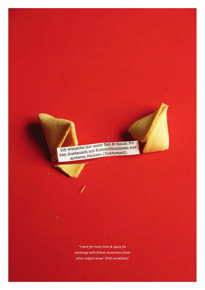Ich wünsche mir mehr Zeit & Raum für Ich wünsche mir mehr Zeit & Raum für<br>den Austausch mit Kommilitoninnen aus<br>den Austausch mit Kommilitoninnen aus wünsche mit Kommilitoninnen<br>Austausch mit Kommilitoninnen<br>anderen Fächern (Doktorand)

> *"I wish for more time & space for exchange with fellow researchers from other subject areas" (PhD candidate).*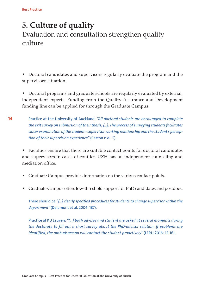## **5. Culture of quality**  Evaluation and consultation strengthen quality culture

- Doctoral candidates and supervisors regularly evaluate the program and the supervisory situation.
- Doctoral programs and graduate schools are regularly evaluated by external, independent experts. Funding from the Quality Assurance and Development funding line can be applied for through the Graduate Campus.
- 14 Practice at the University of Auckland: *"All doctoral students are encouraged to complete the exit survey on submission of their thesis; (…). The process of surveying students facilitates closer examination of the student - supervisor working relationship and the student's perception of their supervision experience"* (Carton n.d.: 5).

• Faculties ensure that there are suitable contact points for doctoral candidates and supervisors in cases of conflict. UZH has an independent counseling and mediation office.

- Graduate Campus provides information on the various contact points.
- Graduate Campus offers low-threshold support for PhD candidates and postdocs.

There should be *"(…) clearly specified procedures for students to change supervisor within the department"* (Delamont et al. 2004: 187).

Practice at KU Leuven: *"(…) both advisor and student are asked at several moments during the doctorate to fill out a short survey about the PhD-advisor relation. If problems are identified, the ombudsperson will contact the student proactively"* (LERU 2016: 15-16).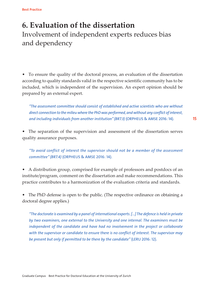## **6. Evaluation of the dissertation** Involvement of independent experts reduces bias and dependency

• To ensure the quality of the doctoral process, an evaluation of the dissertation according to quality standards valid in the respective scientific community has to be included, which is independent of the supervision. An expert opinion should be prepared by an external expert.

*"The assessment committee should consist of established and active scientists who are without direct connection to the milieu where the PhD was performed, and without any conflict of interest, and including individuals from another institution" (BR7.3)* (ORPHEUS & AMSE 2016: 14)*.* 

• The separation of the supervision and assessment of the dissertation serves quality assurance purposes.

*"To avoid conflict of interest the supervisor should not be a member of the assessment committee" (BR7.4)* (ORPHEUS & AMSE 2016: 14).

• A distribution group, comprised for example of professors and postdocs of an institute/program, comment on the dissertation and make recommendations. This practice contributes to a harmonization of the evaluation criteria and standards.

• The PhD defense is open to the public. (The respective ordinance on obtaining a doctoral degree applies.)

*"The doctorate is examined by a panel of international experts. [...] The defence is held in private by two examiners, one external to the University and one internal. The examiners must be independent of the candidate and have had no involvement in the project or collaborate with the supervisor or candidate to ensure there is no conflict of interest. The supervisor may be present but only if permitted to be there by the candidate"* (LERU 2016: 12).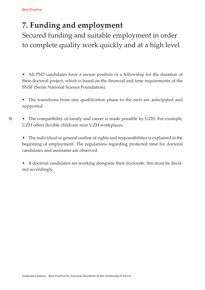# **7. Funding and employment**

Secured funding and suitable employment in order to complete quality work quickly and at a high level

- All PhD candidates have a secure position or a fellowship for the duration of their doctoral project, which is based on the financial and time requirements of the SNSF (Swiss National Science Foundation).
- The transitions from one qualification phase to the next are anticipated and supported.
- 16 • The compatibility of family and career is made possible by UZH. For example, UZH offers flexible childcare near UZH workplaces.

• The individual or general outline of rights and responsibilities is explained at the beginning of employment. The regulations regarding protected time for doctoral candidates and assistants are observed.

• If doctoral candidates are working alongside their doctorate, this must be declared accordingly.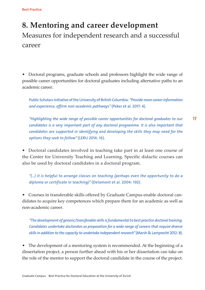# **8. Mentoring and career development** Measures for independent research and a successful career

• Doctoral programs, graduate schools and professors highlight the wide range of possible career opportunities for doctoral graduates including alternative paths to an academic career.

Public Scholars Initiative of the University of British Columbia: *"Provide more career information and experience, affirm non-academic pathways"* (Peker et al. 2017: 4).

17 *"Highlighting the wide range of possible career opportunities for doctoral graduates to our candidates is a very important part of any doctoral programme. It is also important that candidates are supported in identifying and developing the skills they may need for the options they seek to follow"* (LERU 2014: 16).

• Doctoral candidates involved in teaching take part in at least one course of the Center for University Teaching and Learning. Specific didactic courses can also be used by doctoral candidates in a doctoral program.

*"(…) it is helpful to arrange classes on teaching (perhaps even the opportunity to do a diploma or certificate in teaching)"* (Delamont et al. 2004: 192).

• Courses in transferable skills offered by Graduate Campus enable doctoral candidates to acquire key competences which prepare them for an academic as well as non-academic career.

*"The development of generic/transferable skills is fundamental to best practice doctoral training. Candidates undertake doctorates as preparation for a wide range of careers that require diverse skills in addition to the capacity to undertake independent research"* (Marsh & Lamprecht 2012: 8).

• The development of a mentoring system is recommended. At the beginning of a dissertation project, a person further ahead with his or her dissertation can take on the role of the mentor to support the doctoral candidate in the course of the project.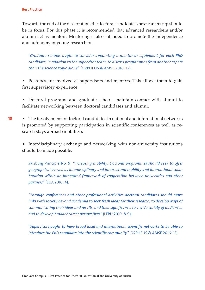Towards the end of the dissertation, the doctoral candidate's next career step should be in focus. For this phase it is recommended that advanced researchers and/or alumni act as mentors. Mentoring is also intended to promote the independence and autonomy of young researchers.

*"Graduate schools ought to consider appointing a mentor or equivalent for each PhD candidate, in addition to the supervisor team, to discuss programmes from another aspect than the science topic alone"* (ORPHEUS & AMSE 2016: 12).

• Postdocs are involved as supervisors and mentors. This allows them to gain first supervisory experience.

• Doctoral programs and graduate schools maintain contact with alumni to facilitate networking between doctoral candidates and alumni.

• The involvement of doctoral candidates in national and international networks is promoted by supporting participation in scientific conferences as well as research stays abroad (mobility).

• Interdisciplinary exchange and networking with non-university institutions should be made possible.

*S*alzburg Principle No. 9: *"Increasing mobility: Doctoral programmes should seek to offer geographical as well as interdisciplinary and intersectoral mobility and international collaboration within an integrated framework of cooperation between universities and other partners"* (EUA 2010: 4).

*"Through conferences and other professional activities doctoral candidates should make links with society beyond academia to seek fresh ideas for their research, to develop ways of communicating their ideas and results, and their significance, to a wide variety of audiences, and to develop broader career perspectives"* (LERU 2010: 8-9).

*"Supervisors ought to have broad local and international scientific networks to be able to introduce the PhD candidate into the scientific community"* (ORPHEUS & AMSE 2016: 12).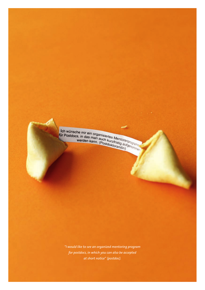Ich wünsche mir ein organisiertes Mentorenprogram<br>für Postdocs, in das man auch kurzfristig aufgrogram<br>werden kann. (Postdoktorandin)

*"I would like to see an organized mentoring program for postdocs, in which you can also be accepted at short notice*" *(postdoc).*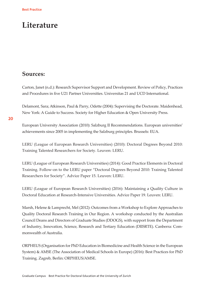## **Literature**

### **Sources:**

Carton, Janet (n.d.): Research Supervisor Support and Development. Review of Policy, Practices and Procedures in five U21 Partner Universities. Universitas 21 and UCD International.

Delamont, Sara; Atkinson, Paul & Parry, Odette (2004): Supervising the Doctorate. Maidenhead, New York: A Guide to Success. Society for Higher Education & Open University Press.

20

European University Association (2010): Salzburg II Recommendations. European universities' achievements since 2005 in implementing the Salzburg principles. Brussels: EUA.

LERU (League of European Research Universities) (2010): Doctoral Degrees Beyond 2010: Training Talented Researchers for Society. Leuven: LERU.

LERU (League of European Research Universities) (2014): Good Practice Elements in Doctoral Training. Follow-on to the LERU paper "Doctoral Degrees Beyond 2010: Training Talented Researchers for Society". Advice Paper 15. Leuven: LERU.

LERU (League of European Research Universities) (2016): Maintaining a Quality Culture in Doctoral Education at Research-Intensive Universities. Advice Paper 19. Leuven: LERU.

Marsh, Helene & Lamprecht, Mel (2012): Outcomes from a Workshop to Explore Approaches to Quality Doctoral Research Training in Our Region. A workshop conducted by the Australian Council Deans and Directors of Graduate Studies (DDOGS), with support from the Department of Industry, Innovation, Science, Research and Tertiary Education (DIISRTE). Canberra: Commonwealth of Australia.

ORPHEUS (Organisation for PhD Education in Biomedicine and Health Science in the European System) & AMSE (The Association of Medical Schools in Europe) (2016): Best Practices for PhD Training. Zagreb, Berlin: ORPHEUS/AMSE.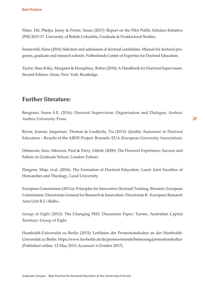Peker, Efé; Phelps, Jenny & Porter, Susan (2017): Report on the Pilot Public Scholars Initiative (PSI) 2015-17. University of British Columbia, Graduate & Postdoctoral Studies.

Sonneveld, Hans (2016): Selection and admission of doctoral candidates. Manual for doctoral programs, graduate and research schools. Netherlands Centre of Expertise for Doctoral Education.

Taylor, Stan; Kiley, Margaret & Humphrey, Robin (2018): A Handbook for Doctoral Supervisors. Second Edition. Oxon, New York: Routledge.

### **Further literature:**

Bengtsen, Soren S.E. (2016): Doctoral Supervision: Organization and Dialogue, Aarhus: Aarhus University Press.

Byrne, Joanne; Jørgensen, Thomas & Loukkola, Tia (2013): Quality Assurance in Doctoral Education – Results of the ARDE Project. Brussels: EUA (European University Association).

Delamont, Sara; Atkinson, Paul & Parry, Odette (2000): The Doctoral Experience: Success and Failure in Graduate School. London: Falmer.

Elmgren, Maja, et.al. (2016): The Formation of Doctoral Education, Lund: Joint Faculties of Humanities and Theology, Lund University.

European Commission (2011a): Principles for Innovative Doctoral Training. Brussels: European Commission, Directorate-General for Research & Innovation. Directorate B - European Research Area Unit B.2 «Skills».

Group of Eight (2013): The Changing PhD. Discussion Paper. Turner, Australian Capital Territory: Group of Eight.

Humboldt-Universität zu Berlin (2015): Leitlinien der Promotionskultur an der Humboldt-Universität zu Berlin. https://www.hu-berlin.de/de/promovierende/betreuung/promotionskultur (Published online: 12 May 2015; Accessed: 6 October 2017).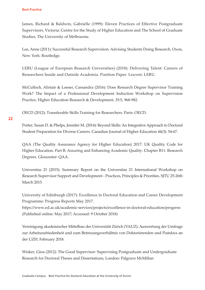James, Richard & Baldwin, Gabrielle (1999): Eleven Practices of Effective Postgraduate Supervisors. Victoria: Centre for the Study of Higher Education and The School of Graduate Studies, The University of Melbourne.

Lee, Anne (2011): Successful Research Supervision: Advising Students Doing Research, Oxon, New York: Routledge.

LERU (League of European Research Universities) (2018): Delivering Talent: Careers of Researchers Inside and Outside Academia. Position Paper. Leuven: LERU.

McCulloch, Alistair & Loeser, Cassandra (2016): Does Research Degree Supervisor Training Work? The Impact of a Professional Development Induction Workshop on Supervision Practice, Higher Education Research & Development, 35:5, 968-982.

OECD (2012): Transferable Skills Training for Researchers. Paris: OECD.

### $22$

Porter, Susan D. & Phelps, Jennifer M. (2014): Beyond Skills: An Integrative Approach to Doctoral Student Preparation for Diverse Careers. Canadian Journal of Higher Education 44(3): 54-67.

QAA (The Quality Assurance Agency for Higher Education) 2017: UK Quality Code for Higher Education. Part B: Assuring and Enhancing Academic Quality. Chapter B11: Research Degrees. Gloucester: QAA.

Universitas 21 (2015): Summary Report on the Universitas 21 International Workshop on Research Supervisor Support and Development ‐ Practices, Principles & Priorities. SJTU 25‐26th March 2015.

University of Edinburgh (2017): Excellence in Doctoral Education and Career Development Programme: Progress Reports May 2017.

https://www.ed.ac.uk/academic-services/projects/excellence-in-doctoral-education/progress (Published online: May 2017; Accessed: 9 October 2018)

Vereinigung akademischer Mittelbau der Universität Zürich (VAUZ): Auswertung der Umfrage zur Arbeitszufriedenheit und zum Betreuungsverhältnis von Doktorierenden und Postdocs an der UZH. February 2018.

Wisker, Gina (2012): The Good Supervisor: Supervising Postgraduate and Undergraduate Research for Doctoral Theses and Dissertations, London: Palgrave McMillan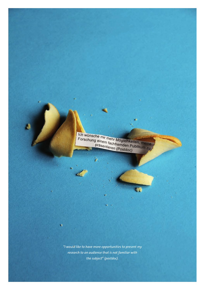